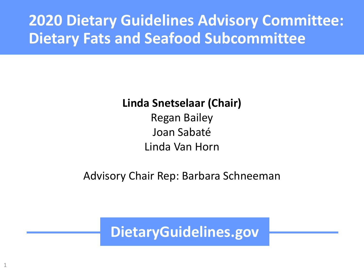## **2020 Dietary Guidelines Advisory Committee: Dietary Fats and Seafood Subcommittee**

#### **Linda Snetselaar (Chair)**

Regan Bailey Joan Sabaté Linda Van Horn

Advisory Chair Rep: Barbara Schneeman

**DietaryGuidelines.gov**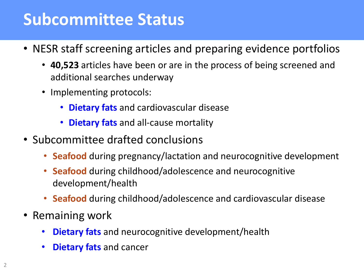# **Subcommittee Status**

- NESR staff screening articles and preparing evidence portfolios
	- **40,523** articles have been or are in the process of being screened and additional searches underway
	- Implementing protocols:
		- **Dietary fats** and cardiovascular disease
		- **Dietary fats** and all-cause mortality
- Subcommittee drafted conclusions
	- **Seafood** during pregnancy/lactation and neurocognitive development
	- **Seafood** during childhood/adolescence and neurocognitive development/health
	- **Seafood** during childhood/adolescence and cardiovascular disease
- Remaining work
	- **Dietary fats** and neurocognitive development/health
	- **Dietary fats** and cancer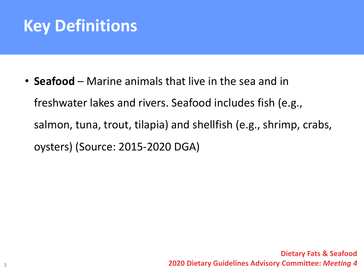# **Key Definitions**

• **Seafood** – Marine animals that live in the sea and in freshwater lakes and rivers. Seafood includes fish (e.g., salmon, tuna, trout, tilapia) and shellfish (e.g., shrimp, crabs, oysters) (Source: 2015-2020 DGA)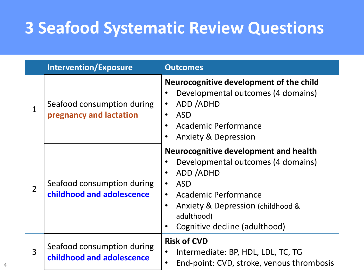# **3 Seafood Systematic Review Questions**

| <b>Intervention/Exposure</b> |                                                         | <b>Outcomes</b>                                                                                                                                                                                                                                                                                   |  |
|------------------------------|---------------------------------------------------------|---------------------------------------------------------------------------------------------------------------------------------------------------------------------------------------------------------------------------------------------------------------------------------------------------|--|
| 1                            | Seafood consumption during<br>pregnancy and lactation   | Neurocognitive development of the child<br>Developmental outcomes (4 domains)<br>ADD /ADHD<br>$\bullet$<br><b>ASD</b><br>$\bullet$<br><b>Academic Performance</b><br><b>Anxiety &amp; Depression</b><br>$\bullet$                                                                                 |  |
| $\overline{2}$               | Seafood consumption during<br>childhood and adolescence | <b>Neurocognitive development and health</b><br>Developmental outcomes (4 domains)<br>ADD /ADHD<br>$\bullet$<br><b>ASD</b><br>$\bullet$<br><b>Academic Performance</b><br>$\bullet$<br>Anxiety & Depression (childhood &<br>$\bullet$<br>adulthood)<br>Cognitive decline (adulthood)<br>$\bullet$ |  |
| 3                            | Seafood consumption during<br>childhood and adolescence | <b>Risk of CVD</b><br>Intermediate: BP, HDL, LDL, TC, TG<br>End-point: CVD, stroke, venous thrombosis<br>$\bullet$                                                                                                                                                                                |  |

4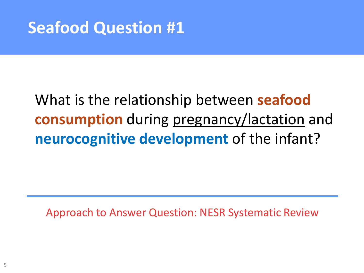# **Seafood Question #1**

# What is the relationship between **seafood consumption** during pregnancy/lactation and **neurocognitive development** of the infant?

Approach to Answer Question: NESR Systematic Review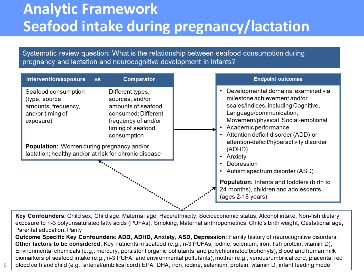## **Analytic Framework Seafood intake during pregnancy/lactation**

Systematic review question: What is the relationship between seafood consumption during pregnancy and lactation and neurocognitive development in infants?

| Comparator<br><b>VS</b>                                                                                                                     |                                                                                                    | <b>Endpoint outcomes</b>                                                                                                                                                                                                                                                                                                                                                                                                                                        |
|---------------------------------------------------------------------------------------------------------------------------------------------|----------------------------------------------------------------------------------------------------|-----------------------------------------------------------------------------------------------------------------------------------------------------------------------------------------------------------------------------------------------------------------------------------------------------------------------------------------------------------------------------------------------------------------------------------------------------------------|
| Different types,<br>sources, and/or<br>amounts of seafood<br>consumed; Different<br>frequency of and/or<br>timing of seafood<br>consumption |                                                                                                    | Developmental domains, examined via<br>milestone achievement and/or<br>scales/indices, including Cognitive,<br>Language/communication,<br>Movement/physical, Social-emotional<br>Academic performance<br>Attention deficit disorder (ADD) or<br>attention-deficit/hyperactivity disorder<br>(ADHD)<br>Anxiety<br>٠<br>Depression<br>Autism spectrum disorder (ASD)<br><b>Population:</b> Infants and toddlers (birth to<br>24 months), children and adolescents |
|                                                                                                                                             |                                                                                                    | (ages 2-18 years)                                                                                                                                                                                                                                                                                                                                                                                                                                               |
|                                                                                                                                             | Population: Women during pregnancy and/or<br>lactation; healthy and/or at risk for chronic disease |                                                                                                                                                                                                                                                                                                                                                                                                                                                                 |

Key Confounders: Child sex, Child age, Maternal age, Race/ethnicity, Socioeconomic status, Alcohol intake, Non-fish dietary exposure to n-3 polyunsaturated fatty acids (PUFAs), Smoking, Maternal anthropometrics, Child's birth weight, Gestational age, Parental education, Parity

Outcome Specific Key Confounders: ADD, ADHD, Anxiety, ASD, Depression: Family history of neurocognitive disorders. Other factors to be considered: Key nutrients in seafood (e.g., n-3 PUFAs, iodine, selenium, iron, fish protein, vitamin D); Environmental chemicals (e.g,. mercury, persistent organic pollutants, and polychlorinated biphenyls); Blood and human milk biomarkers of seafood intake (e.g., n-3 PUFA, and environmental pollutants), mother (e.g., venous/umbilical cord, placenta, red blood cell) and child (e.g., arterial/umbilical cord) EPA, DHA, iron, iodine, selenium, protein, vitamin D; infant feeding mode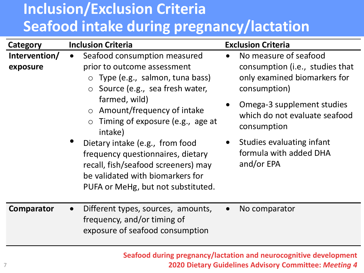# **Inclusion/Exclusion Criteria Seafood intake during pregnancy/lactation**

| Category                  | <b>Inclusion Criteria</b>                                                                                                                                                                                                                                                                                                                                                                                                                                                    | <b>Exclusion Criteria</b>                                                                                                                                                                                                                                                |
|---------------------------|------------------------------------------------------------------------------------------------------------------------------------------------------------------------------------------------------------------------------------------------------------------------------------------------------------------------------------------------------------------------------------------------------------------------------------------------------------------------------|--------------------------------------------------------------------------------------------------------------------------------------------------------------------------------------------------------------------------------------------------------------------------|
| Intervention/<br>exposure | Seafood consumption measured<br>$\bullet$<br>prior to outcome assessment<br>$\circ$ Type (e.g., salmon, tuna bass)<br>Source (e.g., sea fresh water,<br>$\circ$<br>farmed, wild)<br>Amount/frequency of intake<br>$\circ$<br>Timing of exposure (e.g., age at<br>$\circ$<br>intake)<br>Dietary intake (e.g., from food<br>frequency questionnaires, dietary<br>recall, fish/seafood screeners) may<br>be validated with biomarkers for<br>PUFA or MeHg, but not substituted. | No measure of seafood<br>$\bullet$<br>consumption (i.e., studies that<br>only examined biomarkers for<br>consumption)<br>Omega-3 supplement studies<br>which do not evaluate seafood<br>consumption<br>Studies evaluating infant<br>formula with added DHA<br>and/or EPA |
| <b>Comparator</b>         | Different types, sources, amounts,<br>frequency, and/or timing of<br>exposure of seafood consumption                                                                                                                                                                                                                                                                                                                                                                         | No comparator<br>$\bullet$                                                                                                                                                                                                                                               |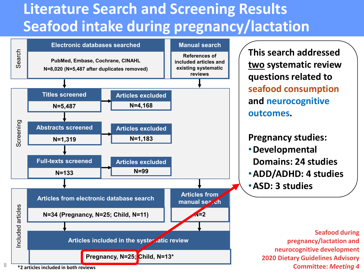# **Literature Search and Screening Results Seafood intake during pregnancy/lactation**



**This search addressed two systematic review questions related to seafood consumption and neurocognitive outcomes.**

#### **Pregnancy studies:**

- •**Developmental Domains: 24 studies**
- •**ADD/ADHD: 4 studies**

•**ASD: 3 studies**

**\*2 articles included in both reviews**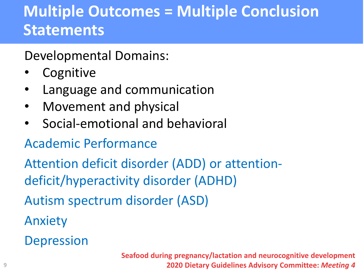# **Multiple Outcomes = Multiple Conclusion Statements**

Developmental Domains:

- Cognitive
- Language and communication
- Movement and physical
- Social-emotional and behavioral

## Academic Performance

Attention deficit disorder (ADD) or attentiondeficit/hyperactivity disorder (ADHD)

Autism spectrum disorder (ASD)

Anxiety

**Depression**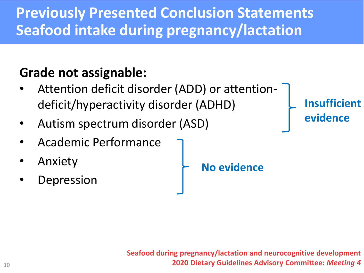# **Previously Presented Conclusion Statements Seafood intake during pregnancy/lactation**

## **Grade not assignable:**

- Attention deficit disorder (ADD) or attentiondeficit/hyperactivity disorder (ADHD)
- Autism spectrum disorder (ASD)
- Academic Performance
- **Anxiety**
- **Depression**

**No evidence**

**Insufficient evidence**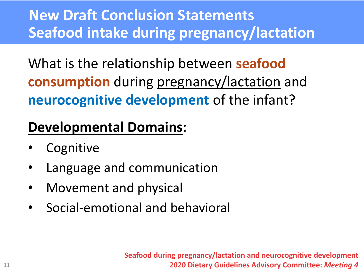# **New Draft Conclusion Statements Seafood intake during pregnancy/lactation**

What is the relationship between **seafood consumption** during pregnancy/lactation and **neurocognitive development** of the infant?

## **Developmental Domains**:

- **Cognitive**
- Language and communication
- Movement and physical
- Social-emotional and behavioral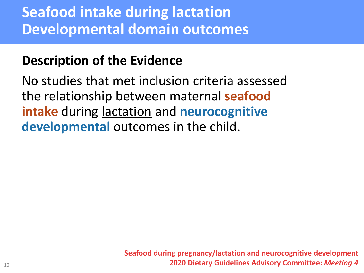# **Seafood intake during lactation Developmental domain outcomes**

### **Description of the Evidence**

No studies that met inclusion criteria assessed the relationship between maternal **seafood intake** during lactation and **neurocognitive developmental** outcomes in the child.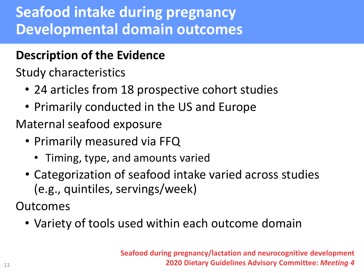# **Seafood intake during pregnancy Developmental domain outcomes**

## **Description of the Evidence**

Study characteristics

- 24 articles from 18 prospective cohort studies
- Primarily conducted in the US and Europe

Maternal seafood exposure

- Primarily measured via FFQ
	- Timing, type, and amounts varied
- Categorization of seafood intake varied across studies (e.g., quintiles, servings/week)

Outcomes

• Variety of tools used within each outcome domain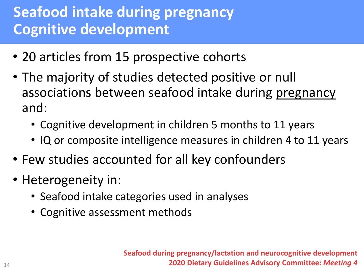# **Seafood intake during pregnancy Cognitive development**

- 20 articles from 15 prospective cohorts
- The majority of studies detected positive or null associations between seafood intake during pregnancy and:
	- Cognitive development in children 5 months to 11 years
	- IQ or composite intelligence measures in children 4 to 11 years
- Few studies accounted for all key confounders
- Heterogeneity in:
	- Seafood intake categories used in analyses
	- Cognitive assessment methods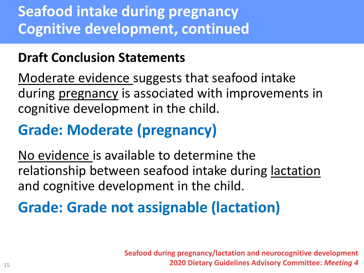# **Seafood intake during pregnancy Cognitive development, continued**

## **Draft Conclusion Statements**

Moderate evidence suggests that seafood intake during pregnancy is associated with improvements in cognitive development in the child.

# **Grade: Moderate (pregnancy)**

No evidence is available to determine the relationship between seafood intake during lactation and cognitive development in the child.

# **Grade: Grade not assignable (lactation)**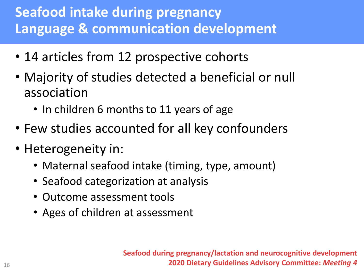## **Seafood intake during pregnancy Language & communication development**

- 14 articles from 12 prospective cohorts
- Majority of studies detected a beneficial or null association
	- In children 6 months to 11 years of age
- Few studies accounted for all key confounders
- Heterogeneity in:
	- Maternal seafood intake (timing, type, amount)
	- Seafood categorization at analysis
	- Outcome assessment tools
	- Ages of children at assessment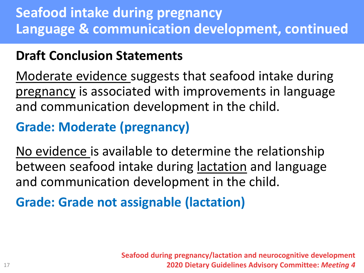## **Seafood intake during pregnancy Language & communication development, continued**

## **Draft Conclusion Statements**

Moderate evidence suggests that seafood intake during pregnancy is associated with improvements in language and communication development in the child.

## **Grade: Moderate (pregnancy)**

No evidence is available to determine the relationship between seafood intake during lactation and language and communication development in the child.

**Grade: Grade not assignable (lactation)**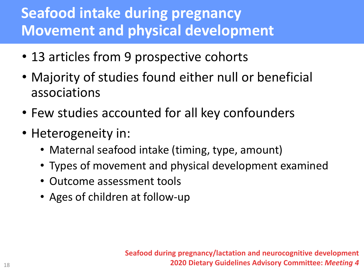# **Seafood intake during pregnancy Movement and physical development**

- 13 articles from 9 prospective cohorts
- Majority of studies found either null or beneficial associations
- Few studies accounted for all key confounders
- Heterogeneity in:
	- Maternal seafood intake (timing, type, amount)
	- Types of movement and physical development examined
	- Outcome assessment tools
	- Ages of children at follow-up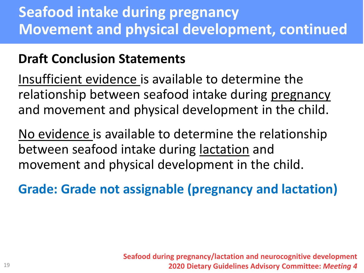# **Seafood intake during pregnancy Movement and physical development, continued**

## **Draft Conclusion Statements**

Insufficient evidence is available to determine the relationship between seafood intake during pregnancy and movement and physical development in the child.

No evidence is available to determine the relationship between seafood intake during lactation and movement and physical development in the child.

**Grade: Grade not assignable (pregnancy and lactation)**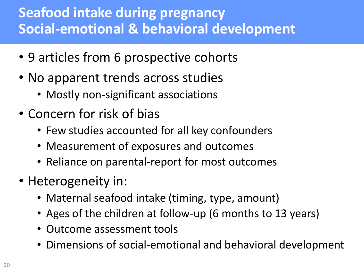## **Seafood intake during pregnancy Social-emotional & behavioral development**

- 9 articles from 6 prospective cohorts
- No apparent trends across studies
	- Mostly non-significant associations
- Concern for risk of bias
	- Few studies accounted for all key confounders
	- Measurement of exposures and outcomes
	- Reliance on parental-report for most outcomes
- Heterogeneity in:
	- Maternal seafood intake (timing, type, amount)
	- Ages of the children at follow-up (6 months to 13 years)
	- Outcome assessment tools
	- Dimensions of social-emotional and behavioral development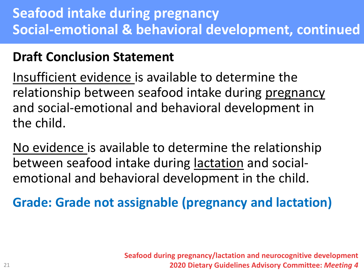## **Seafood intake during pregnancy Social-emotional & behavioral development, continued**

## **Draft Conclusion Statement**

Insufficient evidence is available to determine the relationship between seafood intake during pregnancy and social-emotional and behavioral development in the child.

No evidence is available to determine the relationship between seafood intake during lactation and socialemotional and behavioral development in the child.

**Grade: Grade not assignable (pregnancy and lactation)**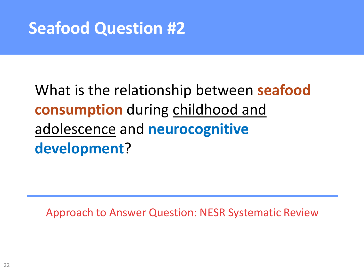# **Seafood Question #2**

# What is the relationship between **seafood consumption** during childhood and adolescence and **neurocognitive development**?

Approach to Answer Question: NESR Systematic Review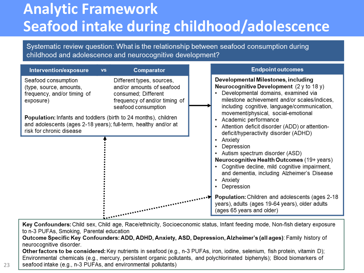# **Analytic Framework Seafood intake during childhood/adolescence**

Systematic review question: What is the relationship between seafood consumption during childhood and adolescence and neurocognitive development?



Key Confounders: Child sex, Child age, Race/ethnicity, Socioeconomic status, Infant feeding mode, Non-fish dietary exposure to n-3 PUFAs, Smoking, Parental education

Outcome Specific Key Confounders: ADD, ADHD, Anxiety, ASD, Depression, Alzheimer's (all ages): Family history of neurocognitive disorder.

Other factors to be considered: Key nutrients in seafood (e.g., n-3 PUFAs, iron, iodine, selenium, fish protein, vitamin D); Environmental chemicals (e.g., mercury, persistent organic pollutants, and polychlorinated biphenyls); Blood biomarkers of seafood intake (e.g., n-3 PUFAs, and environmental pollutants)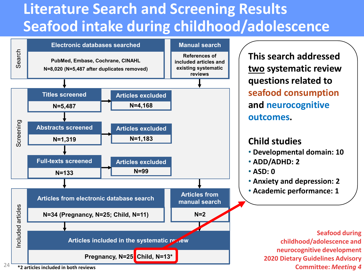# **Literature Search and Screening Results Seafood intake during childhood/adolescence**



**This search addressed two systematic review questions related to seafood consumption and neurocognitive outcomes.**

#### **Child studies**

- **Developmental domain: 10**
- **ADD/ADHD: 2**
- **ASD: 0**
- **Anxiety and depression: 2**
- **Academic performance: 1**

**Seafood during childhood/adolescence and neurocognitive development 2020 Dietary Guidelines Advisory Committee:** *Meeting 4*

**\*2 articles included in both reviews**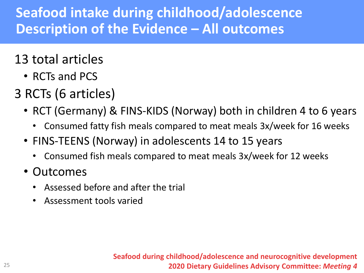## **Seafood intake during childhood/adolescence Description of the Evidence – All outcomes**

## 13 total articles

- RCTs and PCS
- 3 RCTs (6 articles)
	- RCT (Germany) & FINS-KIDS (Norway) both in children 4 to 6 years
		- Consumed fatty fish meals compared to meat meals 3x/week for 16 weeks
	- FINS-TEENS (Norway) in adolescents 14 to 15 years
		- Consumed fish meals compared to meat meals 3x/week for 12 weeks
	- Outcomes
		- Assessed before and after the trial
		- Assessment tools varied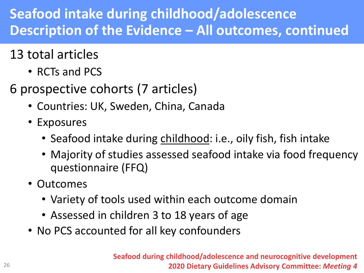## **Seafood intake during childhood/adolescence Description of the Evidence – All outcomes, continued**

## 13 total articles

- RCTs and PCS
- 6 prospective cohorts (7 articles)
	- Countries: UK, Sweden, China, Canada
	- Exposures
		- Seafood intake during childhood: i.e., oily fish, fish intake
		- Majority of studies assessed seafood intake via food frequency questionnaire (FFQ)
	- Outcomes
		- Variety of tools used within each outcome domain
		- Assessed in children 3 to 18 years of age
	- No PCS accounted for all key confounders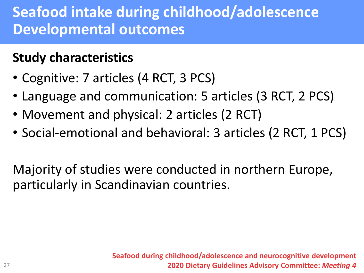# **Seafood intake during childhood/adolescence Developmental outcomes**

## **Study characteristics**

- Cognitive: 7 articles (4 RCT, 3 PCS)
- Language and communication: 5 articles (3 RCT, 2 PCS)
- Movement and physical: 2 articles (2 RCT)
- Social-emotional and behavioral: 3 articles (2 RCT, 1 PCS)

Majority of studies were conducted in northern Europe, particularly in Scandinavian countries.

> **Seafood during childhood/adolescence and neurocognitive development 2020 Dietary Guidelines Advisory Committee:** *Meeting 4*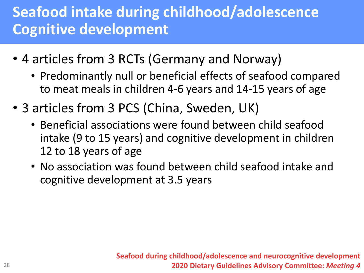# **Seafood intake during childhood/adolescence Cognitive development**

- 4 articles from 3 RCTs (Germany and Norway)
	- Predominantly null or beneficial effects of seafood compared to meat meals in children 4-6 years and 14-15 years of age
- 3 articles from 3 PCS (China, Sweden, UK)
	- Beneficial associations were found between child seafood intake (9 to 15 years) and cognitive development in children 12 to 18 years of age
	- No association was found between child seafood intake and cognitive development at 3.5 years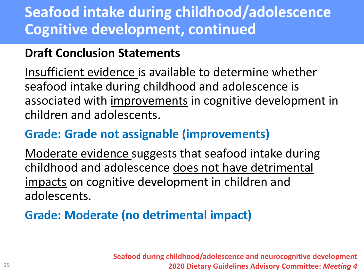# **Seafood intake during childhood/adolescence Cognitive development, continued**

### **Draft Conclusion Statements**

Insufficient evidence is available to determine whether seafood intake during childhood and adolescence is associated with improvements in cognitive development in children and adolescents.

### **Grade: Grade not assignable (improvements)**

Moderate evidence suggests that seafood intake during childhood and adolescence does not have detrimental impacts on cognitive development in children and adolescents.

## **Grade: Moderate (no detrimental impact)**

**Seafood during childhood/adolescence and neurocognitive development 2020 Dietary Guidelines Advisory Committee:** *Meeting 4*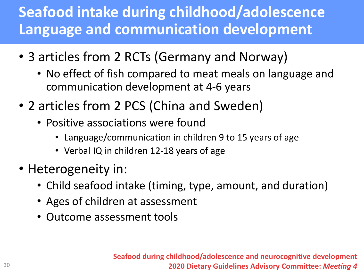# **Seafood intake during childhood/adolescence Language and communication development**

- 3 articles from 2 RCTs (Germany and Norway)
	- No effect of fish compared to meat meals on language and communication development at 4-6 years
- 2 articles from 2 PCS (China and Sweden)
	- Positive associations were found
		- Language/communication in children 9 to 15 years of age
		- Verbal IQ in children 12-18 years of age
- Heterogeneity in:
	- Child seafood intake (timing, type, amount, and duration)
	- Ages of children at assessment
	- Outcome assessment tools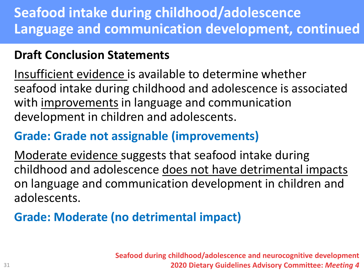## **Seafood intake during childhood/adolescence Language and communication development, continued**

### **Draft Conclusion Statements**

Insufficient evidence is available to determine whether seafood intake during childhood and adolescence is associated with improvements in language and communication development in children and adolescents.

## **Grade: Grade not assignable (improvements)**

Moderate evidence suggests that seafood intake during childhood and adolescence does not have detrimental impacts on language and communication development in children and adolescents.

### **Grade: Moderate (no detrimental impact)**

**Seafood during childhood/adolescence and neurocognitive development 2020 Dietary Guidelines Advisory Committee:** *Meeting 4*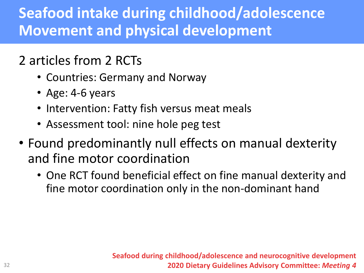# **Seafood intake during childhood/adolescence Movement and physical development**

## 2 articles from 2 RCTs

- Countries: Germany and Norway
- Age: 4-6 years
- Intervention: Fatty fish versus meat meals
- Assessment tool: nine hole peg test
- Found predominantly null effects on manual dexterity and fine motor coordination
	- One RCT found beneficial effect on fine manual dexterity and fine motor coordination only in the non-dominant hand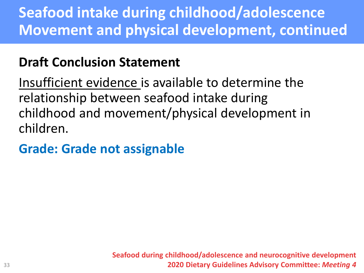# **Seafood intake during childhood/adolescence Movement and physical development, continued**

## **Draft Conclusion Statement**

Insufficient evidence is available to determine the relationship between seafood intake during childhood and movement/physical development in children.

## **Grade: Grade not assignable**

**Seafood during childhood/adolescence and neurocognitive development 2020 Dietary Guidelines Advisory Committee:** *Meeting 4*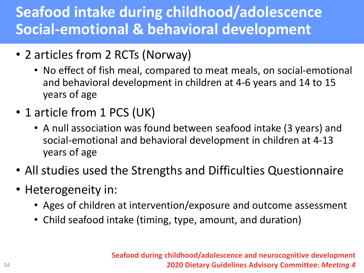# **Seafood intake during childhood/adolescence Social-emotional & behavioral development**

- 2 articles from 2 RCTs (Norway)
	- No effect of fish meal, compared to meat meals, on social-emotional and behavioral development in children at 4-6 years and 14 to 15 years of age
- 1 article from 1 PCS (UK)
	- A null association was found between seafood intake (3 years) and social-emotional and behavioral development in children at 4-13 years of age
- All studies used the Strengths and Difficulties Questionnaire
- Heterogeneity in:
	- Ages of children at intervention/exposure and outcome assessment
	- Child seafood intake (timing, type, amount, and duration)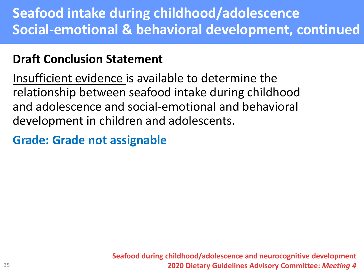## **Seafood intake during childhood/adolescence Social-emotional & behavioral development, continued**

### **Draft Conclusion Statement**

Insufficient evidence is available to determine the relationship between seafood intake during childhood and adolescence and social-emotional and behavioral development in children and adolescents.

### **Grade: Grade not assignable**

**Seafood during childhood/adolescence and neurocognitive development 2020 Dietary Guidelines Advisory Committee:** *Meeting 4*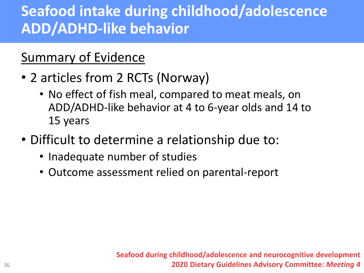# **Seafood intake during childhood/adolescence ADD/ADHD-like behavior**

## Summary of Evidence

- 2 articles from 2 RCTs (Norway)
	- No effect of fish meal, compared to meat meals, on ADD/ADHD-like behavior at 4 to 6-year olds and 14 to 15 years
- Difficult to determine a relationship due to:
	- Inadequate number of studies
	- Outcome assessment relied on parental-report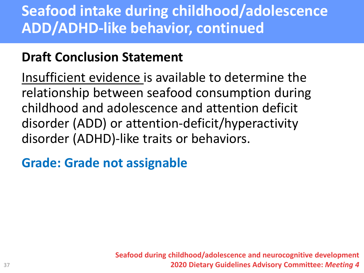# **Seafood intake during childhood/adolescence ADD/ADHD-like behavior, continued**

## **Draft Conclusion Statement**

Insufficient evidence is available to determine the relationship between seafood consumption during childhood and adolescence and attention deficit disorder (ADD) or attention-deficit/hyperactivity disorder (ADHD)-like traits or behaviors.

## **Grade: Grade not assignable**

**Seafood during childhood/adolescence and neurocognitive development 2020 Dietary Guidelines Advisory Committee:** *Meeting 4*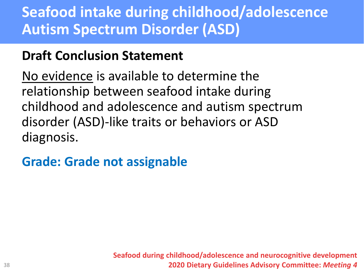# **Seafood intake during childhood/adolescence Autism Spectrum Disorder (ASD)**

## **Draft Conclusion Statement**

No evidence is available to determine the relationship between seafood intake during childhood and adolescence and autism spectrum disorder (ASD)-like traits or behaviors or ASD diagnosis.

## **Grade: Grade not assignable**

**Seafood during childhood/adolescence and neurocognitive development 2020 Dietary Guidelines Advisory Committee:** *Meeting 4*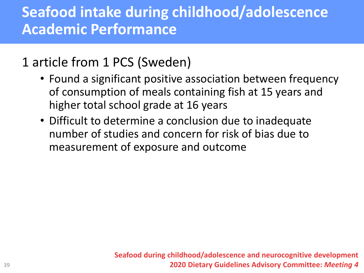# **Seafood intake during childhood/adolescence Academic Performance**

## 1 article from 1 PCS (Sweden)

- Found a significant positive association between frequency of consumption of meals containing fish at 15 years and higher total school grade at 16 years
- Difficult to determine a conclusion due to inadequate number of studies and concern for risk of bias due to measurement of exposure and outcome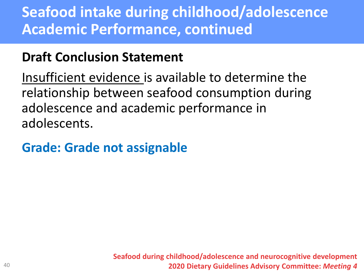# **Seafood intake during childhood/adolescence Academic Performance, continued**

## **Draft Conclusion Statement**

Insufficient evidence is available to determine the relationship between seafood consumption during adolescence and academic performance in adolescents.

## **Grade: Grade not assignable**

**Seafood during childhood/adolescence and neurocognitive development 2020 Dietary Guidelines Advisory Committee:** *Meeting 4*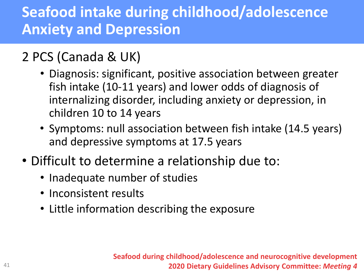# **Seafood intake during childhood/adolescence Anxiety and Depression**

## 2 PCS (Canada & UK)

- Diagnosis: significant, positive association between greater fish intake (10-11 years) and lower odds of diagnosis of internalizing disorder, including anxiety or depression, in children 10 to 14 years
- Symptoms: null association between fish intake (14.5 years) and depressive symptoms at 17.5 years
- Difficult to determine a relationship due to:
	- Inadequate number of studies
	- Inconsistent results
	- Little information describing the exposure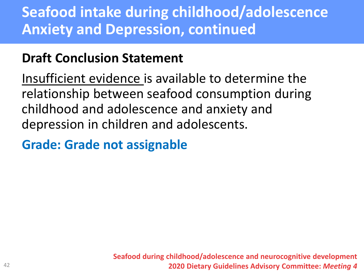# **Seafood intake during childhood/adolescence Anxiety and Depression, continued**

## **Draft Conclusion Statement**

Insufficient evidence is available to determine the relationship between seafood consumption during childhood and adolescence and anxiety and depression in children and adolescents.

## **Grade: Grade not assignable**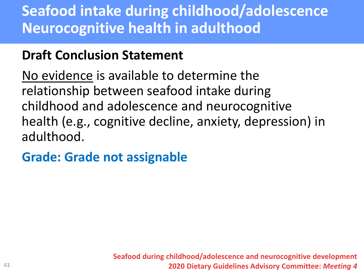# **Seafood intake during childhood/adolescence Neurocognitive health in adulthood**

## **Draft Conclusion Statement**

No evidence is available to determine the relationship between seafood intake during childhood and adolescence and neurocognitive health (e.g., cognitive decline, anxiety, depression) in adulthood.

## **Grade: Grade not assignable**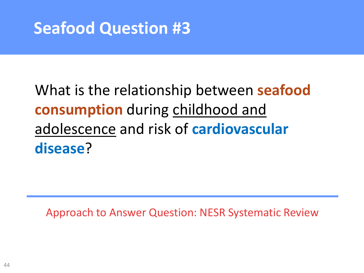# **Seafood Question #3**

# What is the relationship between **seafood consumption** during childhood and adolescence and risk of **cardiovascular disease**?

Approach to Answer Question: NESR Systematic Review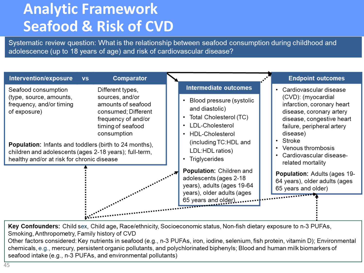# **Analytic Framework Seafood & Risk of CVD**

Systematic review question: What is the relationship between seafood consumption during childhood and adolescence (up to 18 years of age) and risk of cardiovascular disease?



Key Confounders: Child sex, Child age, Race/ethnicity, Socioeconomic status, Non-fish dietary exposure to n-3 PUFAs, Smoking, Anthropometry, Family history of CVD

Other factors considered: Key nutrients in seafood (e.g., n-3 PUFAs, iron, iodine, selenium, fish protein, vitamin D); Environmental chemicals, e.g., mercury, persistent organic pollutants, and polychlorinated biphenyls; Blood and human milk biomarkers of seafood intake (e.g., n-3 PUFAs, and environmental pollutants)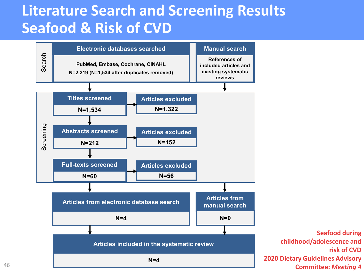## **Literature Search and Screening Results Seafood & Risk of CVD**



**Seafood during** 

**risk of CVD**

46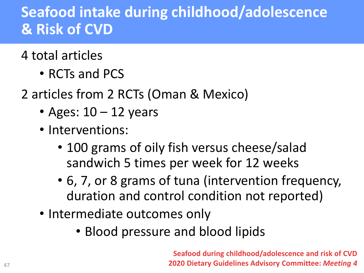# **Seafood intake during childhood/adolescence & Risk of CVD**

## 4 total articles

- RCTs and PCS
- 2 articles from 2 RCTs (Oman & Mexico)
	- Ages:  $10 12$  years
	- Interventions:
		- 100 grams of oily fish versus cheese/salad sandwich 5 times per week for 12 weeks
		- 6, 7, or 8 grams of tuna (intervention frequency, duration and control condition not reported)
	- Intermediate outcomes only
		- Blood pressure and blood lipids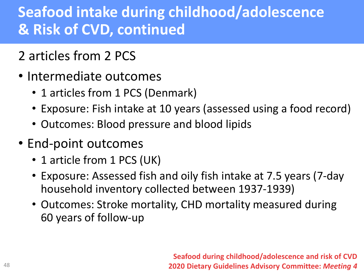# **Seafood intake during childhood/adolescence & Risk of CVD, continued**

- 2 articles from 2 PCS
- Intermediate outcomes
	- 1 articles from 1 PCS (Denmark)
	- Exposure: Fish intake at 10 years (assessed using a food record)
	- Outcomes: Blood pressure and blood lipids
- End-point outcomes
	- 1 article from 1 PCS (UK)
	- Exposure: Assessed fish and oily fish intake at 7.5 years (7-day household inventory collected between 1937-1939)
	- Outcomes: Stroke mortality, CHD mortality measured during 60 years of follow-up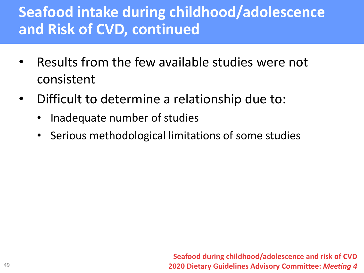# **Seafood intake during childhood/adolescence and Risk of CVD, continued**

- Results from the few available studies were not consistent
- Difficult to determine a relationship due to:
	- Inadequate number of studies
	- Serious methodological limitations of some studies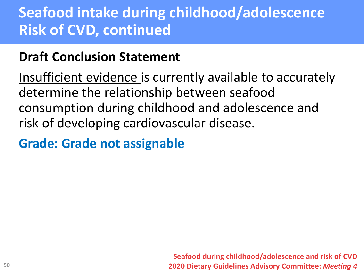# **Seafood intake during childhood/adolescence Risk of CVD, continued**

## **Draft Conclusion Statement**

Insufficient evidence is currently available to accurately determine the relationship between seafood consumption during childhood and adolescence and risk of developing cardiovascular disease.

## **Grade: Grade not assignable**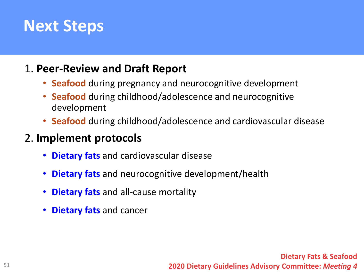# **Next Steps**

#### 1. **Peer-Review and Draft Report**

- **Seafood** during pregnancy and neurocognitive development
- **Seafood** during childhood/adolescence and neurocognitive development
- **Seafood** during childhood/adolescence and cardiovascular disease

#### 2. **Implement protocols**

- **Dietary fats** and cardiovascular disease
- **Dietary fats** and neurocognitive development/health
- **Dietary fats** and all-cause mortality
- **Dietary fats** and cancer

**Dietary Fats & Seafood 2020 Dietary Guidelines Advisory Committee:** *Meeting 4*